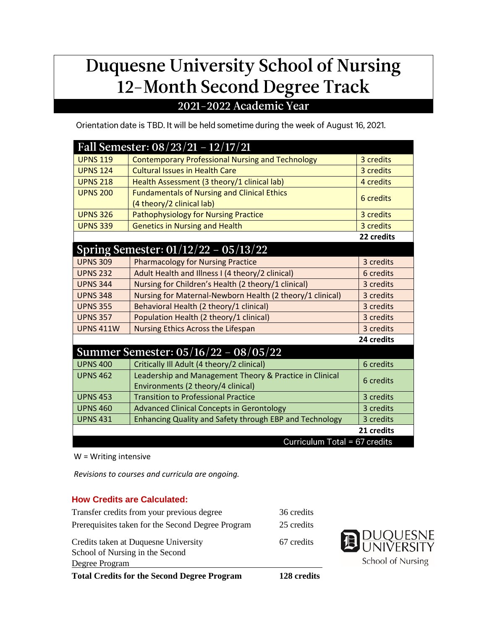# Duquesne University School of Nursing 12-Month Second Degree Track

### 2021-2022 Academic Year

Orientation date is TBD. It will be held sometime during the week of August 16, 2021.

|                               | <b>Fall Semester: 08/23/21 - 12/17/21</b>                      |            |  |
|-------------------------------|----------------------------------------------------------------|------------|--|
| <b>UPNS 119</b>               | <b>Contemporary Professional Nursing and Technology</b>        | 3 credits  |  |
| <b>UPNS 124</b>               | <b>Cultural Issues in Health Care</b>                          | 3 credits  |  |
| <b>UPNS 218</b>               | Health Assessment (3 theory/1 clinical lab)                    | 4 credits  |  |
| <b>UPNS 200</b>               | <b>Fundamentals of Nursing and Clinical Ethics</b>             | 6 credits  |  |
|                               | (4 theory/2 clinical lab)                                      |            |  |
| <b>UPNS 326</b>               | <b>Pathophysiology for Nursing Practice</b>                    | 3 credits  |  |
| <b>UPNS 339</b>               | <b>Genetics in Nursing and Health</b>                          | 3 credits  |  |
|                               |                                                                | 22 credits |  |
|                               | Spring Semester: 01/12/22 - 05/13/22                           |            |  |
| <b>UPNS 309</b>               | <b>Pharmacology for Nursing Practice</b>                       | 3 credits  |  |
| <b>UPNS 232</b>               | Adult Health and Illness I (4 theory/2 clinical)               | 6 credits  |  |
| <b>UPNS 344</b>               | Nursing for Children's Health (2 theory/1 clinical)            | 3 credits  |  |
| <b>UPNS 348</b>               | Nursing for Maternal-Newborn Health (2 theory/1 clinical)      | 3 credits  |  |
| <b>UPNS 355</b>               | Behavioral Health (2 theory/1 clinical)                        | 3 credits  |  |
| <b>UPNS 357</b>               | Population Health (2 theory/1 clinical)                        | 3 credits  |  |
| <b>UPNS 411W</b>              | Nursing Ethics Across the Lifespan                             | 3 credits  |  |
|                               |                                                                | 24 credits |  |
|                               | Summer Semester: 05/16/22 - 08/05/22                           |            |  |
| <b>UPNS 400</b>               | Critically Ill Adult (4 theory/2 clinical)                     | 6 credits  |  |
| <b>UPNS 462</b>               | Leadership and Management Theory & Practice in Clinical        | 6 credits  |  |
|                               | Environments (2 theory/4 clinical)                             |            |  |
| <b>UPNS 453</b>               | <b>Transition to Professional Practice</b>                     | 3 credits  |  |
| <b>UPNS 460</b>               | <b>Advanced Clinical Concepts in Gerontology</b>               | 3 credits  |  |
| <b>UPNS 431</b>               | <b>Enhancing Quality and Safety through EBP and Technology</b> | 3 credits  |  |
|                               |                                                                | 21 credits |  |
| Curriculum Total = 67 credits |                                                                |            |  |

W = Writing intensive

*Revisions to courses and curricula are ongoing.*

#### **How Credits are Calculated:**

| <b>Total Credits for the Second Degree Program</b> | 128 credits |
|----------------------------------------------------|-------------|
| Degree Program                                     |             |
| School of Nursing in the Second                    |             |
| Credits taken at Duquesne University               | 67 credits  |
| Prerequisites taken for the Second Degree Program  | 25 credits  |
| Transfer credits from your previous degree         | 36 credits  |